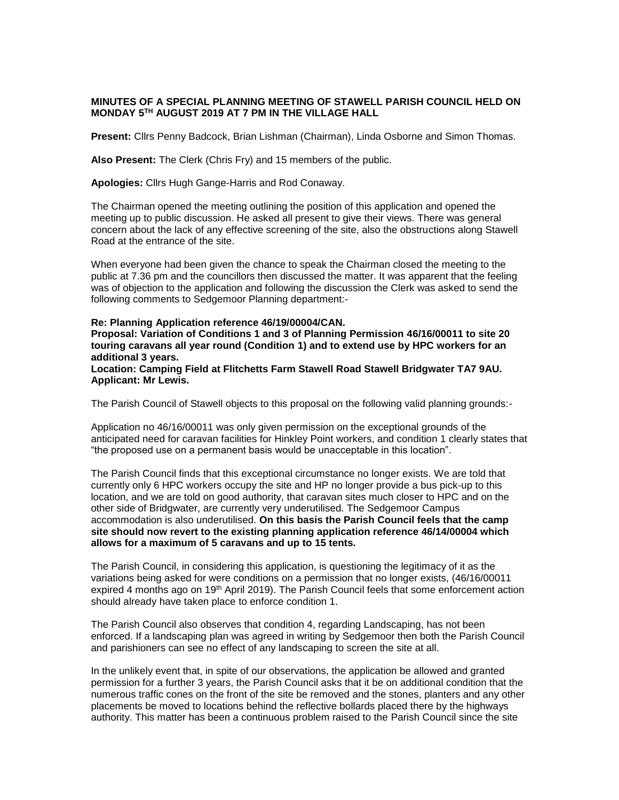## **MINUTES OF A SPECIAL PLANNING MEETING OF STAWELL PARISH COUNCIL HELD ON MONDAY 5TH AUGUST 2019 AT 7 PM IN THE VILLAGE HALL**

**Present:** Cllrs Penny Badcock, Brian Lishman (Chairman), Linda Osborne and Simon Thomas.

**Also Present:** The Clerk (Chris Fry) and 15 members of the public.

**Apologies:** Cllrs Hugh Gange-Harris and Rod Conaway.

The Chairman opened the meeting outlining the position of this application and opened the meeting up to public discussion. He asked all present to give their views. There was general concern about the lack of any effective screening of the site, also the obstructions along Stawell Road at the entrance of the site.

When everyone had been given the chance to speak the Chairman closed the meeting to the public at 7.36 pm and the councillors then discussed the matter. It was apparent that the feeling was of objection to the application and following the discussion the Clerk was asked to send the following comments to Sedgemoor Planning department:-

## **Re: Planning Application reference 46/19/00004/CAN.**

**Proposal: Variation of Conditions 1 and 3 of Planning Permission 46/16/00011 to site 20 touring caravans all year round (Condition 1) and to extend use by HPC workers for an additional 3 years.**

**Location: Camping Field at Flitchetts Farm Stawell Road Stawell Bridgwater TA7 9AU. Applicant: Mr Lewis.**

The Parish Council of Stawell objects to this proposal on the following valid planning grounds:-

Application no 46/16/00011 was only given permission on the exceptional grounds of the anticipated need for caravan facilities for Hinkley Point workers, and condition 1 clearly states that "the proposed use on a permanent basis would be unacceptable in this location".

The Parish Council finds that this exceptional circumstance no longer exists. We are told that currently only 6 HPC workers occupy the site and HP no longer provide a bus pick-up to this location, and we are told on good authority, that caravan sites much closer to HPC and on the other side of Bridgwater, are currently very underutilised. The Sedgemoor Campus accommodation is also underutilised. **On this basis the Parish Council feels that the camp site should now revert to the existing planning application reference 46/14/00004 which allows for a maximum of 5 caravans and up to 15 tents.**

The Parish Council, in considering this application, is questioning the legitimacy of it as the variations being asked for were conditions on a permission that no longer exists, (46/16/00011 expired 4 months ago on 19<sup>th</sup> April 2019). The Parish Council feels that some enforcement action should already have taken place to enforce condition 1.

The Parish Council also observes that condition 4, regarding Landscaping, has not been enforced. If a landscaping plan was agreed in writing by Sedgemoor then both the Parish Council and parishioners can see no effect of any landscaping to screen the site at all.

In the unlikely event that, in spite of our observations, the application be allowed and granted permission for a further 3 years, the Parish Council asks that it be on additional condition that the numerous traffic cones on the front of the site be removed and the stones, planters and any other placements be moved to locations behind the reflective bollards placed there by the highways authority. This matter has been a continuous problem raised to the Parish Council since the site